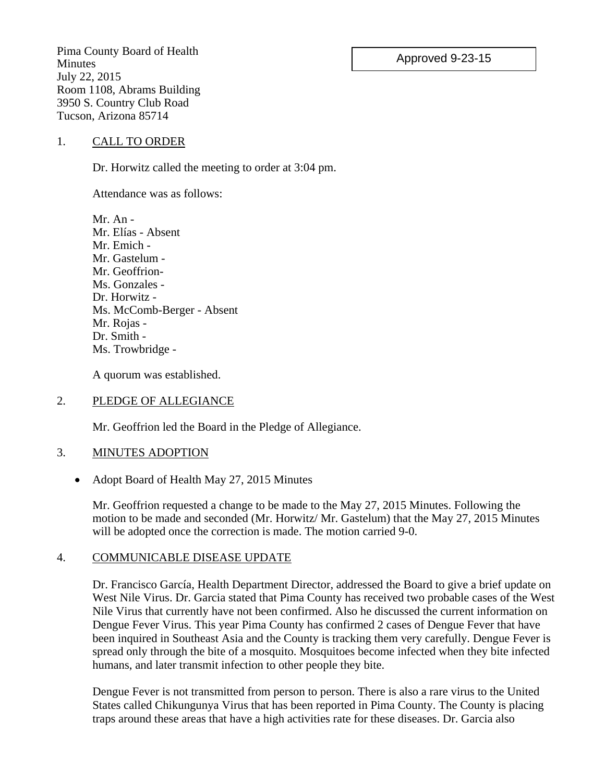### Approved 9-23-15

Pima County Board of Health **Minutes** July 22, 2015 Room 1108, Abrams Building 3950 S. Country Club Road Tucson, Arizona 85714

#### 1. CALL TO ORDER

Dr. Horwitz called the meeting to order at 3:04 pm.

Attendance was as follows:

Mr. An - Mr. Elías - Absent Mr. Emich - Mr. Gastelum - Mr. Geoffrion-Ms. Gonzales - Dr. Horwitz - Ms. McComb-Berger - Absent Mr. Rojas - Dr. Smith - Ms. Trowbridge -

A quorum was established.

#### 2. PLEDGE OF ALLEGIANCE

Mr. Geoffrion led the Board in the Pledge of Allegiance.

#### 3. MINUTES ADOPTION

• Adopt Board of Health May 27, 2015 Minutes

Mr. Geoffrion requested a change to be made to the May 27, 2015 Minutes. Following the motion to be made and seconded (Mr. Horwitz/ Mr. Gastelum) that the May 27, 2015 Minutes will be adopted once the correction is made. The motion carried 9-0.

#### 4. COMMUNICABLE DISEASE UPDATE

Dr. Francisco García, Health Department Director, addressed the Board to give a brief update on West Nile Virus. Dr. Garcia stated that Pima County has received two probable cases of the West Nile Virus that currently have not been confirmed. Also he discussed the current information on Dengue Fever Virus. This year Pima County has confirmed 2 cases of Dengue Fever that have been inquired in Southeast Asia and the County is tracking them very carefully. Dengue Fever is spread only through the bite of a mosquito. Mosquitoes become infected when they bite infected humans, and later transmit infection to other people they bite.

Dengue Fever is not transmitted from person to person. There is also a rare virus to the United States called Chikungunya Virus that has been reported in Pima County. The County is placing traps around these areas that have a high activities rate for these diseases. Dr. Garcia also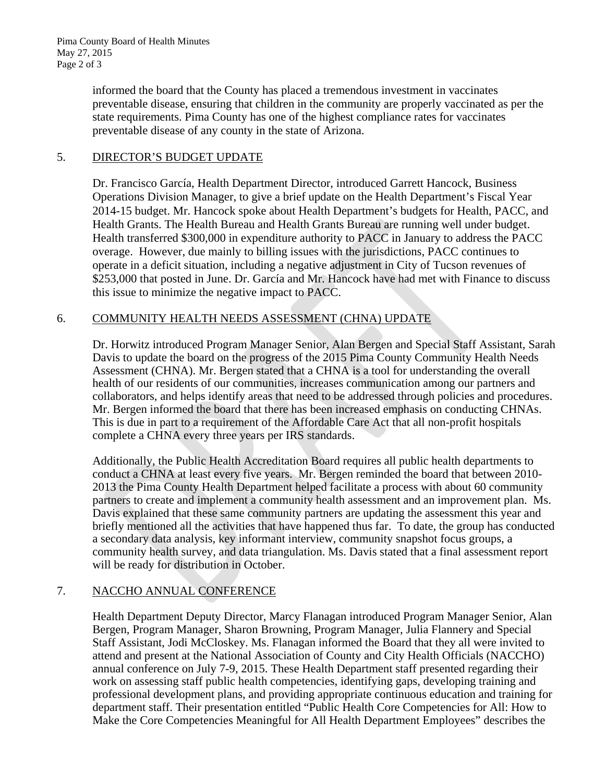informed the board that the County has placed a tremendous investment in vaccinates preventable disease, ensuring that children in the community are properly vaccinated as per the state requirements. Pima County has one of the highest compliance rates for vaccinates preventable disease of any county in the state of Arizona.

## 5. DIRECTOR'S BUDGET UPDATE

Dr. Francisco García, Health Department Director, introduced Garrett Hancock, Business Operations Division Manager, to give a brief update on the Health Department's Fiscal Year 2014-15 budget. Mr. Hancock spoke about Health Department's budgets for Health, PACC, and Health Grants. The Health Bureau and Health Grants Bureau are running well under budget. Health transferred \$300,000 in expenditure authority to PACC in January to address the PACC overage. However, due mainly to billing issues with the jurisdictions, PACC continues to operate in a deficit situation, including a negative adjustment in City of Tucson revenues of \$253,000 that posted in June. Dr. García and Mr. Hancock have had met with Finance to discuss this issue to minimize the negative impact to PACC.

### 6. COMMUNITY HEALTH NEEDS ASSESSMENT (CHNA) UPDATE

Dr. Horwitz introduced Program Manager Senior, Alan Bergen and Special Staff Assistant, Sarah Davis to update the board on the progress of the 2015 Pima County Community Health Needs Assessment (CHNA). Mr. Bergen stated that a CHNA is a tool for understanding the overall health of our residents of our communities, increases communication among our partners and collaborators, and helps identify areas that need to be addressed through policies and procedures. Mr. Bergen informed the board that there has been increased emphasis on conducting CHNAs. This is due in part to a requirement of the Affordable Care Act that all non-profit hospitals complete a CHNA every three years per IRS standards.

Additionally, the Public Health Accreditation Board requires all public health departments to conduct a CHNA at least every five years. Mr. Bergen reminded the board that between 2010- 2013 the Pima County Health Department helped facilitate a process with about 60 community partners to create and implement a community health assessment and an improvement plan. Ms. Davis explained that these same community partners are updating the assessment this year and briefly mentioned all the activities that have happened thus far. To date, the group has conducted a secondary data analysis, key informant interview, community snapshot focus groups, a community health survey, and data triangulation. Ms. Davis stated that a final assessment report will be ready for distribution in October.

# 7. NACCHO ANNUAL CONFERENCE

Health Department Deputy Director, Marcy Flanagan introduced Program Manager Senior, Alan Bergen, Program Manager, Sharon Browning, Program Manager, Julia Flannery and Special Staff Assistant, Jodi McCloskey. Ms. Flanagan informed the Board that they all were invited to attend and present at the National Association of County and City Health Officials (NACCHO) annual conference on July 7-9, 2015. These Health Department staff presented regarding their work on assessing staff public health competencies, identifying gaps, developing training and professional development plans, and providing appropriate continuous education and training for department staff. Their presentation entitled "Public Health Core Competencies for All: How to Make the Core Competencies Meaningful for All Health Department Employees" describes the